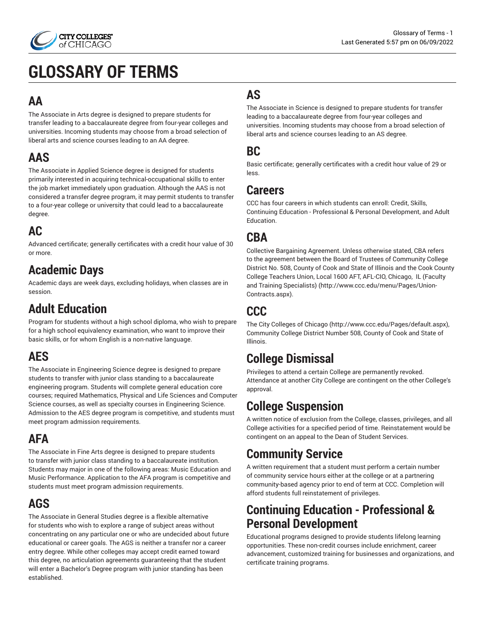

# **GLOSSARY OF TERMS**

#### **AA**

The Associate in Arts degree is designed to prepare students for transfer leading to a baccalaureate degree from four-year colleges and universities. Incoming students may choose from a broad selection of liberal arts and science courses leading to an AA degree.

#### **AAS**

The Associate in Applied Science degree is designed for students primarily interested in acquiring technical-occupational skills to enter the job market immediately upon graduation. Although the AAS is not considered a transfer degree program, it may permit students to transfer to a four-year college or university that could lead to a baccalaureate degree.

#### **AC**

Advanced certificate; generally certificates with a credit hour value of 30 or more.

### **Academic Days**

Academic days are week days, excluding holidays, when classes are in session.

# **Adult Education**

Program for students without a high school diploma, who wish to prepare for a high school equivalency examination, who want to improve their basic skills, or for whom English is a non-native language.

#### **AES**

The Associate in Engineering Science degree is designed to prepare students to transfer with junior class standing to a baccalaureate engineering program. Students will complete general education core courses; required Mathematics, Physical and Life Sciences and Computer Science courses, as well as specialty courses in Engineering Science. Admission to the AES degree program is competitive, and students must meet program admission requirements.

# **AFA**

The Associate in Fine Arts degree is designed to prepare students to transfer with junior class standing to a baccalaureate institution. Students may major in one of the following areas: Music Education and Music Performance. Application to the AFA program is competitive and students must meet program admission requirements.

#### **AGS**

The Associate in General Studies degree is a flexible alternative for students who wish to explore a range of subject areas without concentrating on any particular one or who are undecided about future educational or career goals. The AGS is neither a transfer nor a career entry degree. While other colleges may accept credit earned toward this degree, no articulation agreements guaranteeing that the student will enter a Bachelor's Degree program with junior standing has been established.

# **AS**

The Associate in Science is designed to prepare students for transfer leading to a baccalaureate degree from four-year colleges and universities. Incoming students may choose from a broad selection of liberal arts and science courses leading to an AS degree.

#### **BC**

Basic certificate; generally certificates with a credit hour value of 29 or less.

#### **Careers**

CCC has four careers in which students can enroll: Credit, Skills, Continuing Education - Professional & Personal Development, and Adult Education.

#### **CBA**

Collective Bargaining Agreement. Unless otherwise stated, CBA refers to the agreement between the Board of Trustees of [Community](http://www.ccc.edu/menu/Pages/Union-Contracts.aspx) College [District No. 508, County of Cook and State of Illinois and the Cook County](http://www.ccc.edu/menu/Pages/Union-Contracts.aspx) College [Teachers](http://www.ccc.edu/menu/Pages/Union-Contracts.aspx) Union, Local 1600 AFT, AFL-CIO, Chicago, IL (Faculty and Training [Specialists\)](http://www.ccc.edu/menu/Pages/Union-Contracts.aspx) ([http://www.ccc.edu/menu/Pages/Union-](http://www.ccc.edu/menu/Pages/Union-Contracts.aspx)[Contracts.aspx\)](http://www.ccc.edu/menu/Pages/Union-Contracts.aspx).

#### **CCC**

The [City Colleges of Chicago](http://www.ccc.edu/Pages/default.aspx) (<http://www.ccc.edu/Pages/default.aspx>), Community College District Number 508, County of Cook and State of Illinois.

#### **College Dismissal**

Privileges to attend a certain College are permanently revoked. Attendance at another City College are contingent on the other College's approval.

# **College Suspension**

A written notice of exclusion from the College, classes, privileges, and all College activities for a specified period of time. Reinstatement would be contingent on an appeal to the Dean of Student Services.

#### **Community Service**

A written requirement that a student must perform a certain number of community service hours either at the college or at a partnering community-based agency prior to end of term at CCC. Completion will afford students full reinstatement of privileges.

#### **Continuing Education - Professional & Personal Development**

Educational programs designed to provide students lifelong learning opportunities. These non-credit courses include enrichment, career advancement, customized training for businesses and organizations, and certificate training programs.